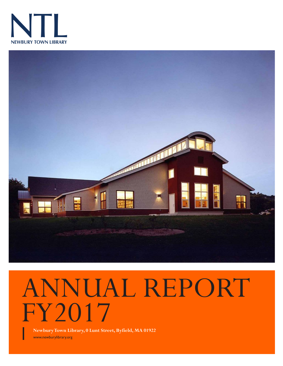



# ANNUAL REPORT FY2017

**Newbury Town Library, 0 Lunt Street, Byfield, MA 01922**

www.newburylibrary.org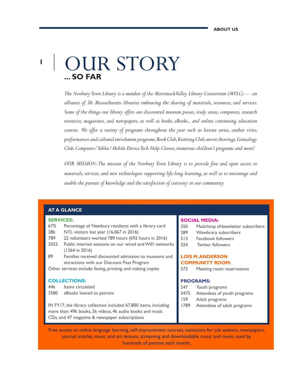### **1 ... SO FAR** OUR STORY

*The Newbury Town Library is a member of the Merrimack Valley Library Consortium (MVLC) — an alliance of 36 Massachusetts libraries embracing the sharing of materials, resources, and services. Some of the things our library offers are discounted museum passes, study areas, computers, research resources, magazines, and newspapers, as well as books, eBooks., and online continuing education courses. We offer a variety of programs throughout the year such as lecture series, author visits, performances and cultural enrichment programs, Book Club, Knitting Club, movie showings, Genealogy Club, Computer/Tablet/Mobile Device Tech Help Classes, numerous children's programs and more!*

*OUR MISSION: The mission of the Newbury Town Library is to provide free and open access to materials, services, and new technologies supporting life-long learning, as well as to encourage and enable the pursuit of knowledge and the satisfaction of curiosity in our community.*

#### **AT A GLANCE**

#### **SERVICES:**

- 67% Percentage of Newbury residents with a library card
- 28k NTL visitors last year (16,067 in 2016)
- 789 22 volunteers worked 789 hours (692 hours in 2016)
- 2032 Public internet sessions on our wired and WiFi networks (1264 in 2016)
- 89 Families received discounted admission to museums and attractions with our Discount Pass Program

Other services include: faxing, printing, and making copies

#### **COLLECTIONS:**

- 44k Items circulated
- 3580 eBooks loaned to patrons

IN FY17, the library collection included 67,800 items, including more than: 49k books, 5k videos, 4k audio books and music CDs, and 47 magazine & newspaper subscriptions

#### **SOCIAL MEDIA:**

- 350 Mailchimp eNewsletter subscribers
- 289 Wowbrary subscribers
- 513 Facebook followers
- 324 Twitter followers

#### **LOIS M. ANDERSON COMMUNITY ROOM:**

572 Meeting room reservations

#### **PROGRAMS:**

- 247 Youth programs
- 3475 Attendees of youth programs
- 159 Adult programs
- 1789 Attendees of adult programs

Free access to online language learning, self-improvement courses, assistance for job seekers, newspapers, journal articles, music and art lessons, streaming and downloadable music and more, used by hundreds of patrons each month.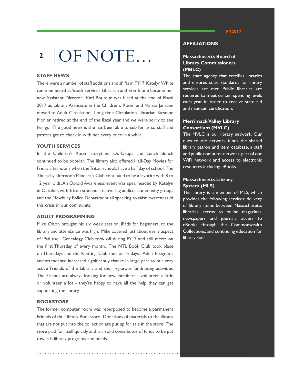## OF NOTE... **2**

#### **STAFF NEWS**

There were a number of staff additions and shifts in FY17. Katelyn White came on board as Youth Services Librarian and Erin Tuomi became our new Assistant Director. Kati Bourque was hired at the end of Fiscal 2017 as Library Associate in the Children's Room and Marcia Jansson moved to Adult Circulation. Long time Circulation Librarian, Suzanne Monier retired at the end of the fiscal year and we were sorry to see her go. The good news is she has been able to sub for us so staff and patrons get to check in with her every once in a while.

#### **YOUTH SERVICES**

In the Children's Room storytime, Do-Drops and Lunch Bunch continued to be popular. The library also offered Half-Day Movies for Friday afternoons when the Triton schools have a half day of school. The Thursday afternoon Minecraft Club continued to be a favorite with 8 to 12 year olds. An Opioid Awareness event was spearheaded by Katelyn in October, with Triton students, recovering addicts, community groups and the Newbury Police Department all speaking to raise awareness of this crisis in our community.

#### **ADULT PROGRAMMING**

Mike Olson brought his six week session, iPads for beginners, to the library and attendance was high. Mike covered just about every aspect of iPad use. Genealogy Club took off during FY17 and still meets on the first Thursday of every month. The NTL Book Club took place on Thursdays and the Knitting Club met on Fridays. Adult Programs and attendance increased significantly thanks in large part to our very active Friends of the Library and their vigorous fundraising activities. The Friends are always looking for new members - volunteer a little or volunteer a lot - they're happy to have all the help they can get supporting the library.

#### **BOOKSTORE**

The former computer room was repurposed to become a permanent Friends of the Library Bookstore. Donations of materials to the library that are not put into the collection are put up for sale in the store. The store paid for itself quickly and is a solid contributor of funds to be put towards library programs and needs.

#### **AFFILIATIONS**

#### **Massachusetts Board of Library Commissioners (MBLC)**

The state agency that certifies libraries and ensures state standards for library services are met. Public libraries are required to meet certain spending levels each year in order to receive state aid and maintain certification.

#### **Merrimack Valley Library Consortium (MVLC)**

The MVLC is our library network. Our dues to the network funds the shared library patron and item database, a staff and public computer network, part of our WiFi network and access to electronic resources including eBooks.

#### **Massachusetts Library System (MLS)**

The library is a member of MLS, which provides the following services: delivery of library items between Massachusetts libraries, access to online magazines, newspapers and journals; access to eBooks through the Commonwealth Collections; and continuing education for library staff.